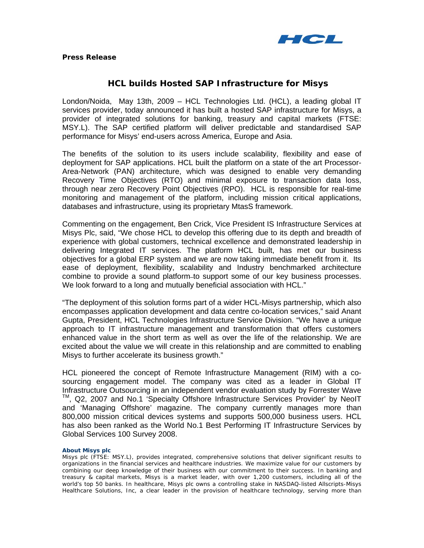

# **HCL builds Hosted SAP Infrastructure for Misys**

London/Noida, May 13th, 2009 – HCL Technologies Ltd. (HCL), a leading global IT services provider, today announced it has built a hosted SAP infrastructure for Misys, a provider of integrated solutions for banking, treasury and capital markets (FTSE: MSY.L). The SAP certified platform will deliver predictable and standardised SAP performance for Misys' end-users across America, Europe and Asia.

The benefits of the solution to its users include scalability, flexibility and ease of deployment for SAP applications. HCL built the platform on a state of the art Processor-Area-Network (PAN) architecture, which was designed to enable very demanding Recovery Time Objectives (RTO) and minimal exposure to transaction data loss, through near zero Recovery Point Objectives (RPO). HCL is responsible for real-time monitoring and management of the platform, including mission critical applications, databases and infrastructure, using its proprietary MtasS framework.

Commenting on the engagement, Ben Crick, Vice President IS Infrastructure Services at Misys Plc, said, "We chose HCL to develop this offering due to its depth and breadth of experience with global customers, technical excellence and demonstrated leadership in delivering Integrated IT services. The platform HCL built, has met our business objectives for a global ERP system and we are now taking immediate benefit from it. Its ease of deployment, flexibility, scalability and Industry benchmarked architecture combine to provide a sound platform to support some of our key business processes. We look forward to a long and mutually beneficial association with HCL."

"The deployment of this solution forms part of a wider HCL-Misys partnership, which also encompasses application development and data centre co-location services," said Anant Gupta, President, HCL Technologies Infrastructure Service Division. "We have a unique approach to IT infrastructure management and transformation that offers customers enhanced value in the short term as well as over the life of the relationship. We are excited about the value we will create in this relationship and are committed to enabling Misys to further accelerate its business growth."

HCL pioneered the concept of Remote Infrastructure Management (RIM) with a cosourcing engagement model. The company was cited as a leader in Global IT Infrastructure Outsourcing in an independent vendor evaluation study by Forrester Wave ™, Q2, 2007 and No.1 'Specialty Offshore Infrastructure Services Provider' by NeoIT and 'Managing Offshore' magazine. The company currently manages more than 800,000 mission critical devices systems and supports 500,000 business users. HCL has also been ranked as the World No.1 Best Performing IT Infrastructure Services by Global Services 100 Survey 2008.

# **About Misys plc**

Misys plc (FTSE: MSY.L), provides integrated, comprehensive solutions that deliver significant results to organizations in the financial services and healthcare industries. We maximize value for our customers by combining our deep knowledge of their business with our commitment to their success. In banking and treasury & capital markets, Misys is a market leader, with over 1,200 customers, including all of the world's top 50 banks. In healthcare, Misys plc owns a controlling stake in NASDAQ-listed Allscripts-Misys Healthcare Solutions, Inc, a clear leader in the provision of healthcare technology, serving more than